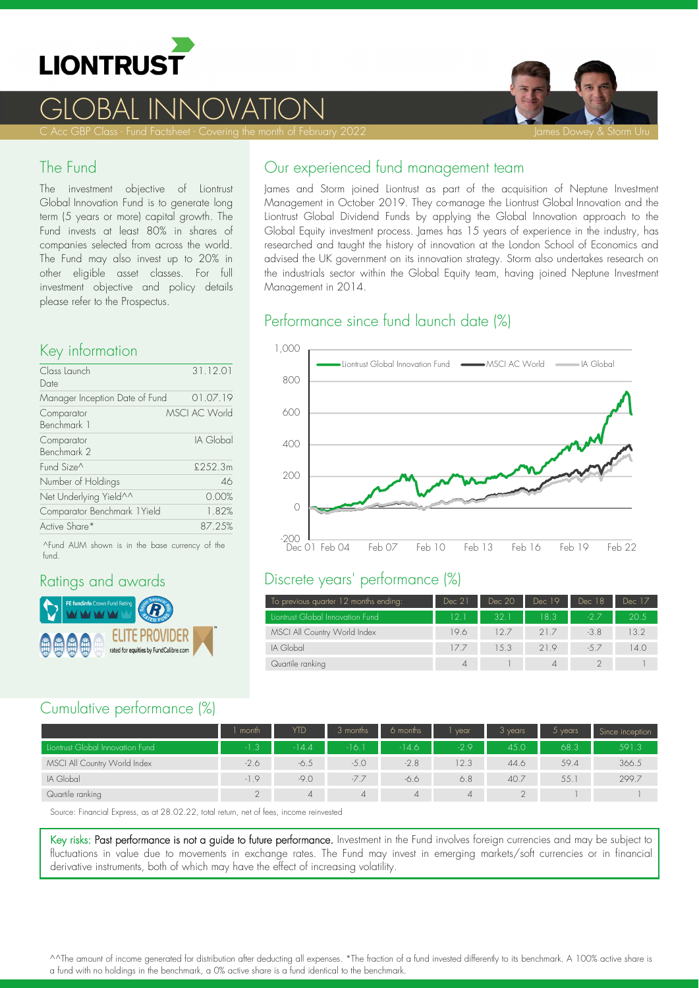

# <u>GLOBAL INNOVATION</u>



C Acc GBP Class - Fund Factsheet - Covering the month of February 2022 James James Dowey & Storm Uru

#### The Fund

The investment objective of Liontrust Global Innovation Fund is to generate long term (5 years or more) capital growth. The Fund invests at least 80% in shares of companies selected from across the world. The Fund may also invest up to 20% in other eligible asset classes. For full investment objective and policy details please refer to the Prospectus.

## Key information

| Class Launch<br>Date           | 31.12.01             |
|--------------------------------|----------------------|
| Manager Inception Date of Fund | 01.07.19             |
| Comparator<br>Benchmark 1      | <b>MSCI AC World</b> |
| Comparator<br>Benchmark 2      | IA Global            |
| Fund Size^                     | £252.3m              |
| Number of Holdings             | 46                   |
| Net Underlying Yield^^         | 0.00%                |
| Comparator Benchmark 1 Yield   | 1.82%                |
| Active Share*                  | 87.25%               |

^Fund AUM shown is in the base currency of the fund.

#### Ratings and awards



#### Our experienced fund management team

James and Storm joined Liontrust as part of the acquisition of Neptune Investment Management in October 2019. They co-manage the Liontrust Global Innovation and the Liontrust Global Dividend Funds by applying the Global Innovation approach to the Global Equity investment process. James has 15 years of experience in the industry, has researched and taught the history of innovation at the London School of Economics and advised the UK government on its innovation strategy. Storm also undertakes research on the industrials sector within the Global Equity team, having joined Neptune Investment Management in 2014.

## Performance since fund launch date (%)



#### Discrete years' performance (%)

| To previous quarter 12 months ending: | Dec 21 | Dec 20 | Dec 19   | Dec 18 | Dec 17 |
|---------------------------------------|--------|--------|----------|--------|--------|
| Liontrust Global Innovation Fund      | 12.1   | 32.1   | 18.3     | $-27$  | 20.5   |
| MSCI All Country World Index          | 19.6   | 127    | 21.7     | $-3.8$ | 13.2   |
| IA Global                             | 177    | 1.5.3  | 21.9     | $-5.7$ | 14.0   |
| Quartile ranking                      | 4      |        | $\Delta$ |        |        |

#### Cumulative performance (%)

|                                  | l month. | YTD     | 3 months | 6 months | vear   | 3 years | 5 years | Since inception |
|----------------------------------|----------|---------|----------|----------|--------|---------|---------|-----------------|
| Liontrust Global Innovation Fund | $-1.3$   | $-14.4$ | $-16.$   | $-14.6$  | $-2.9$ | 45.0    | 68.3    | 591.3           |
| MSCI All Country World Index     | $-2.6$   | -6.5    | $-5.0$   | $-2.8$   | 12.3   | 44.6    | 59.4    | 366.5           |
| IA Global                        | $-1.9$   | $-9.0$  | $-7.7$   | -6.6     | 6.8    | 40.7    | 55.     | 299.7           |
| Quartile ranking                 |          | 4       | 4        | 4        | 4      |         |         |                 |

Source: Financial Express, as at 28.02.22, total return, net of fees, income reinvested

Key risks: Past performance is not a guide to future performance. Investment in the Fund involves foreign currencies and may be subject to fluctuations in value due to movements in exchange rates. The Fund may invest in emerging markets/soft currencies or in financial derivative instruments, both of which may have the effect of increasing volatility.

^^The amount of income generated for distribution after deducting all expenses. \*The fraction of a fund invested differently to its benchmark. A 100% active share is a fund with no holdings in the benchmark, a 0% active share is a fund identical to the benchmark.